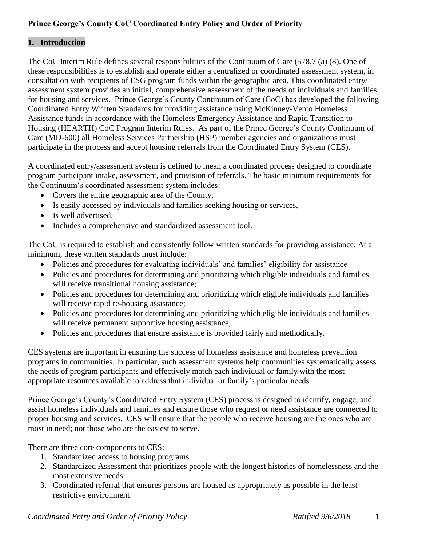# **Prince George's County CoC Coordinated Entry Policy and Order of Priority**

### **1. Introduction**

The CoC Interim Rule defines several responsibilities of the Continuum of Care (578.7 (a) (8). One of these responsibilities is to establish and operate either a centralized or coordinated assessment system, in consultation with recipients of ESG program funds within the geographic area. This coordinated entry/ assessment system provides an initial, comprehensive assessment of the needs of individuals and families for housing and services. Prince George's County Continuum of Care (CoC) has developed the following Coordinated Entry Written Standards for providing assistance using McKinney-Vento Homeless Assistance funds in accordance with the Homeless Emergency Assistance and Rapid Transition to Housing (HEARTH) CoC Program Interim Rules. As part of the Prince George's County Continuum of Care (MD-600) all Homeless Services Partnership (HSP) member agencies and organizations must participate in the process and accept housing referrals from the Coordinated Entry System (CES).

A coordinated entry/assessment system is defined to mean a coordinated process designed to coordinate program participant intake, assessment, and provision of referrals. The basic minimum requirements for the Continuum's coordinated assessment system includes:

- Covers the entire geographic area of the County,
- Is easily accessed by individuals and families seeking housing or services,
- Is well advertised,
- Includes a comprehensive and standardized assessment tool.

The CoC is required to establish and consistently follow written standards for providing assistance. At a minimum, these written standards must include:

- Policies and procedures for evaluating individuals' and families' eligibility for assistance
- Policies and procedures for determining and prioritizing which eligible individuals and families will receive transitional housing assistance;
- Policies and procedures for determining and prioritizing which eligible individuals and families will receive rapid re-housing assistance;
- Policies and procedures for determining and prioritizing which eligible individuals and families will receive permanent supportive housing assistance;
- Policies and procedures that ensure assistance is provided fairly and methodically.

CES systems are important in ensuring the success of homeless assistance and homeless prevention programs in communities. In particular, such assessment systems help communities systematically assess the needs of program participants and effectively match each individual or family with the most appropriate resources available to address that individual or family's particular needs.

Prince George's County's Coordinated Entry System (CES) process is designed to identify, engage, and assist homeless individuals and families and ensure those who request or need assistance are connected to proper housing and services. CES will ensure that the people who receive housing are the ones who are most in need; not those who are the easiest to serve.

There are three core components to CES:

- 1. Standardized access to housing programs
- 2. Standardized Assessment that prioritizes people with the longest histories of homelessness and the most extensive needs
- 3. Coordinated referral that ensures persons are housed as appropriately as possible in the least restrictive environment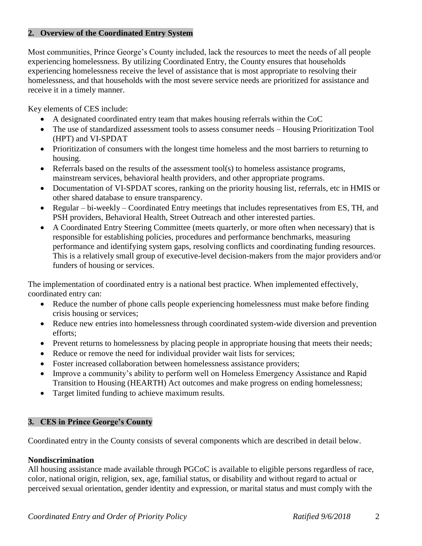#### **2. Overview of the Coordinated Entry System**

Most communities, Prince George's County included, lack the resources to meet the needs of all people experiencing homelessness. By utilizing Coordinated Entry, the County ensures that households experiencing homelessness receive the level of assistance that is most appropriate to resolving their homelessness, and that households with the most severe service needs are prioritized for assistance and receive it in a timely manner.

Key elements of CES include:

- A designated coordinated entry team that makes housing referrals within the CoC
- The use of standardized assessment tools to assess consumer needs Housing Prioritization Tool (HPT) and VI-SPDAT
- Prioritization of consumers with the longest time homeless and the most barriers to returning to housing.
- $\bullet$  Referrals based on the results of the assessment tool(s) to homeless assistance programs, mainstream services, behavioral health providers, and other appropriate programs.
- Documentation of VI-SPDAT scores, ranking on the priority housing list, referrals, etc in HMIS or other shared database to ensure transparency.
- Regular bi-weekly Coordinated Entry meetings that includes representatives from ES, TH, and PSH providers, Behavioral Health, Street Outreach and other interested parties.
- A Coordinated Entry Steering Committee (meets quarterly, or more often when necessary) that is responsible for establishing policies, procedures and performance benchmarks, measuring performance and identifying system gaps, resolving conflicts and coordinating funding resources. This is a relatively small group of executive-level decision-makers from the major providers and/or funders of housing or services.

The implementation of coordinated entry is a national best practice. When implemented effectively, coordinated entry can:

- Reduce the number of phone calls people experiencing homelessness must make before finding crisis housing or services;
- Reduce new entries into homelessness through coordinated system-wide diversion and prevention efforts;
- Prevent returns to homelessness by placing people in appropriate housing that meets their needs;
- Reduce or remove the need for individual provider wait lists for services;
- Foster increased collaboration between homelessness assistance providers;
- Improve a community's ability to perform well on Homeless Emergency Assistance and Rapid Transition to Housing (HEARTH) Act outcomes and make progress on ending homelessness;
- Target limited funding to achieve maximum results.

#### **3. CES in Prince George's County**

Coordinated entry in the County consists of several components which are described in detail below.

#### **Nondiscrimination**

All housing assistance made available through PGCoC is available to eligible persons regardless of race, color, national origin, religion, sex, age, familial status, or disability and without regard to actual or perceived sexual orientation, gender identity and expression, or marital status and must comply with the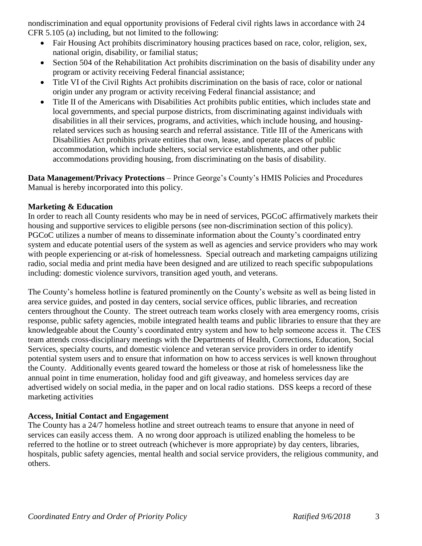nondiscrimination and equal opportunity provisions of Federal civil rights laws in accordance with 24 CFR 5.105 (a) including, but not limited to the following:

- Fair Housing Act prohibits discriminatory housing practices based on race, color, religion, sex, national origin, disability, or familial status;
- Section 504 of the Rehabilitation Act prohibits discrimination on the basis of disability under any program or activity receiving Federal financial assistance;
- Title VI of the Civil Rights Act prohibits discrimination on the basis of race, color or national origin under any program or activity receiving Federal financial assistance; and
- Title II of the Americans with Disabilities Act prohibits public entities, which includes state and local governments, and special purpose districts, from discriminating against individuals with disabilities in all their services, programs, and activities, which include housing, and housingrelated services such as housing search and referral assistance. Title III of the Americans with Disabilities Act prohibits private entities that own, lease, and operate places of public accommodation, which include shelters, social service establishments, and other public accommodations providing housing, from discriminating on the basis of disability.

**Data Management/Privacy Protections** – Prince George's County's HMIS Policies and Procedures Manual is hereby incorporated into this policy.

#### **Marketing & Education**

In order to reach all County residents who may be in need of services, PGCoC affirmatively markets their housing and supportive services to eligible persons (see non-discrimination section of this policy). PGCoC utilizes a number of means to disseminate information about the County's coordinated entry system and educate potential users of the system as well as agencies and service providers who may work with people experiencing or at-risk of homelessness. Special outreach and marketing campaigns utilizing radio, social media and print media have been designed and are utilized to reach specific subpopulations including: domestic violence survivors, transition aged youth, and veterans.

The County's homeless hotline is featured prominently on the County's website as well as being listed in area service guides, and posted in day centers, social service offices, public libraries, and recreation centers throughout the County. The street outreach team works closely with area emergency rooms, crisis response, public safety agencies, mobile integrated health teams and public libraries to ensure that they are knowledgeable about the County's coordinated entry system and how to help someone access it. The CES team attends cross-disciplinary meetings with the Departments of Health, Corrections, Education, Social Services, specialty courts, and domestic violence and veteran service providers in order to identify potential system users and to ensure that information on how to access services is well known throughout the County. Additionally events geared toward the homeless or those at risk of homelessness like the annual point in time enumeration, holiday food and gift giveaway, and homeless services day are advertised widely on social media, in the paper and on local radio stations. DSS keeps a record of these marketing activities

# **Access, Initial Contact and Engagement**

The County has a 24/7 homeless hotline and street outreach teams to ensure that anyone in need of services can easily access them. A no wrong door approach is utilized enabling the homeless to be referred to the hotline or to street outreach (whichever is more appropriate) by day centers, libraries, hospitals, public safety agencies, mental health and social service providers, the religious community, and others.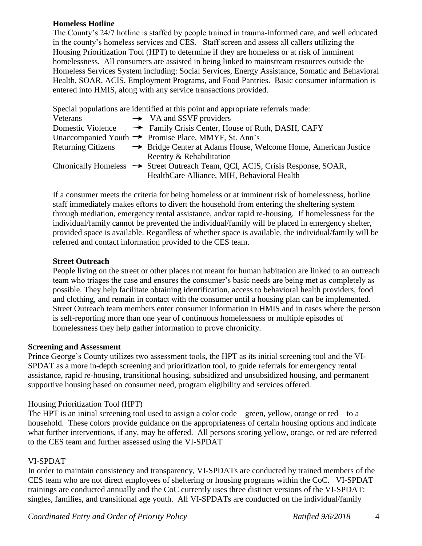#### **Homeless Hotline**

The County's 24/7 hotline is staffed by people trained in trauma-informed care, and well educated in the county's homeless services and CES. Staff screen and assess all callers utilizing the Housing Prioritization Tool (HPT) to determine if they are homeless or at risk of imminent homelessness. All consumers are assisted in being linked to mainstream resources outside the Homeless Services System including: Social Services, Energy Assistance, Somatic and Behavioral Health, SOAR, ACIS, Employment Programs, and Food Pantries. Basic consumer information is entered into HMIS, along with any service transactions provided.

Special populations are identified at this point and appropriate referrals made:

| Veterans                  | $\rightarrow$ VA and SSVF providers                                            |
|---------------------------|--------------------------------------------------------------------------------|
| Domestic Violence         | Arr Family Crisis Center, House of Ruth, DASH, CAFY                            |
|                           | Unaccompanied Youth $\rightarrow$ Promise Place, MMYF, St. Ann's               |
| <b>Returning Citizens</b> | American Justice Stridge Center at Adams House, Welcome Home, American Justice |
|                           | Reentry & Rehabilitation                                                       |
|                           | Chronically Homeless → Street Outreach Team, QCI, ACIS, Crisis Response, SOAR, |
|                           | HealthCare Alliance, MIH, Behavioral Health                                    |

If a consumer meets the criteria for being homeless or at imminent risk of homelessness, hotline staff immediately makes efforts to divert the household from entering the sheltering system through mediation, emergency rental assistance, and/or rapid re-housing. If homelessness for the individual/family cannot be prevented the individual/family will be placed in emergency shelter, provided space is available. Regardless of whether space is available, the individual/family will be referred and contact information provided to the CES team.

#### **Street Outreach**

People living on the street or other places not meant for human habitation are linked to an outreach team who triages the case and ensures the consumer's basic needs are being met as completely as possible. They help facilitate obtaining identification, access to behavioral health providers, food and clothing, and remain in contact with the consumer until a housing plan can be implemented. Street Outreach team members enter consumer information in HMIS and in cases where the person is self-reporting more than one year of continuous homelessness or multiple episodes of homelessness they help gather information to prove chronicity.

#### **Screening and Assessment**

Prince George's County utilizes two assessment tools, the HPT as its initial screening tool and the VI-SPDAT as a more in-depth screening and prioritization tool, to guide referrals for emergency rental assistance, rapid re-housing, transitional housing, subsidized and unsubsidized housing, and permanent supportive housing based on consumer need, program eligibility and services offered.

#### Housing Prioritization Tool (HPT)

The HPT is an initial screening tool used to assign a color code – green, yellow, orange or red – to a household. These colors provide guidance on the appropriateness of certain housing options and indicate what further interventions, if any, may be offered. All persons scoring yellow, orange, or red are referred to the CES team and further assessed using the VI-SPDAT

#### VI-SPDAT

In order to maintain consistency and transparency, VI-SPDATs are conducted by trained members of the CES team who are not direct employees of sheltering or housing programs within the CoC. VI-SPDAT trainings are conducted annually and the CoC currently uses three distinct versions of the VI-SPDAT: singles, families, and transitional age youth. All VI-SPDATs are conducted on the individual/family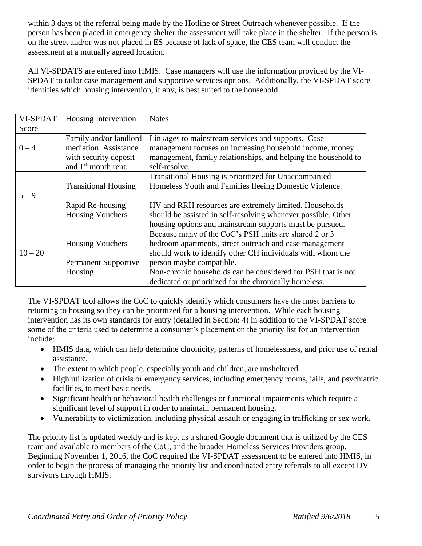within 3 days of the referral being made by the Hotline or Street Outreach whenever possible. If the person has been placed in emergency shelter the assessment will take place in the shelter. If the person is on the street and/or was not placed in ES because of lack of space, the CES team will conduct the assessment at a mutually agreed location.

All VI-SPDATS are entered into HMIS. Case managers will use the information provided by the VI-SPDAT to tailor case management and supportive services options. Additionally, the VI-SPDAT score identifies which housing intervention, if any, is best suited to the household.

| <b>VI-SPDAT</b> | Housing Intervention            | <b>Notes</b>                                                   |
|-----------------|---------------------------------|----------------------------------------------------------------|
| Score           |                                 |                                                                |
|                 | Family and/or landlord          | Linkages to mainstream services and supports. Case             |
| $0 - 4$         | mediation. Assistance           | management focuses on increasing household income, money       |
|                 | with security deposit           | management, family relationships, and helping the household to |
|                 | and 1 <sup>st</sup> month rent. | self-resolve.                                                  |
|                 |                                 | Transitional Housing is prioritized for Unaccompanied          |
|                 | <b>Transitional Housing</b>     | Homeless Youth and Families fleeing Domestic Violence.         |
| $5 - 9$         |                                 |                                                                |
|                 | Rapid Re-housing                | HV and RRH resources are extremely limited. Households         |
|                 | <b>Housing Vouchers</b>         | should be assisted in self-resolving whenever possible. Other  |
|                 |                                 | housing options and mainstream supports must be pursued.       |
|                 |                                 | Because many of the CoC's PSH units are shared 2 or 3          |
|                 | <b>Housing Vouchers</b>         | bedroom apartments, street outreach and case management        |
| $10 - 20$       |                                 | should work to identify other CH individuals with whom the     |
|                 | <b>Permanent Supportive</b>     | person maybe compatible.                                       |
|                 | Housing                         | Non-chronic households can be considered for PSH that is not   |
|                 |                                 | dedicated or prioritized for the chronically homeless.         |

The VI-SPDAT tool allows the CoC to quickly identify which consumers have the most barriers to returning to housing so they can be prioritized for a housing intervention. While each housing intervention has its own standards for entry (detailed in Section: 4) in addition to the VI-SPDAT score some of the criteria used to determine a consumer's placement on the priority list for an intervention include:

- HMIS data, which can help determine chronicity, patterns of homelessness, and prior use of rental assistance.
- The extent to which people, especially youth and children, are unsheltered.
- High utilization of crisis or emergency services, including emergency rooms, jails, and psychiatric facilities, to meet basic needs.
- Significant health or behavioral health challenges or functional impairments which require a significant level of support in order to maintain permanent housing.
- Vulnerability to victimization, including physical assault or engaging in trafficking or sex work.

The priority list is updated weekly and is kept as a shared Google document that is utilized by the CES team and available to members of the CoC, and the broader Homeless Services Providers group. Beginning November 1, 2016, the CoC required the VI-SPDAT assessment to be entered into HMIS, in order to begin the process of managing the priority list and coordinated entry referrals to all except DV survivors through HMIS.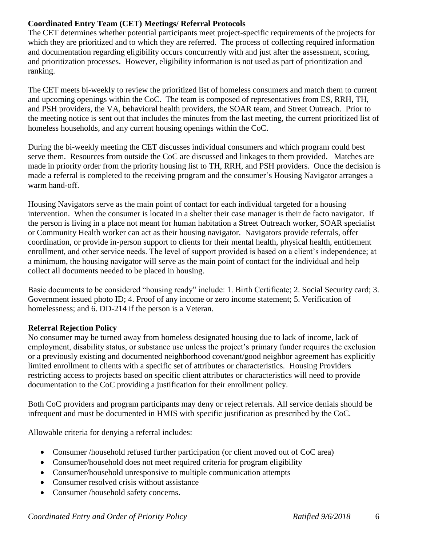# **Coordinated Entry Team (CET) Meetings/ Referral Protocols**

The CET determines whether potential participants meet project-specific requirements of the projects for which they are prioritized and to which they are referred. The process of collecting required information and documentation regarding eligibility occurs concurrently with and just after the assessment, scoring, and prioritization processes. However, eligibility information is not used as part of prioritization and ranking.

The CET meets bi-weekly to review the prioritized list of homeless consumers and match them to current and upcoming openings within the CoC. The team is composed of representatives from ES, RRH, TH, and PSH providers, the VA, behavioral health providers, the SOAR team, and Street Outreach. Prior to the meeting notice is sent out that includes the minutes from the last meeting, the current prioritized list of homeless households, and any current housing openings within the CoC.

During the bi-weekly meeting the CET discusses individual consumers and which program could best serve them. Resources from outside the CoC are discussed and linkages to them provided. Matches are made in priority order from the priority housing list to TH, RRH, and PSH providers. Once the decision is made a referral is completed to the receiving program and the consumer's Housing Navigator arranges a warm hand-off.

Housing Navigators serve as the main point of contact for each individual targeted for a housing intervention. When the consumer is located in a shelter their case manager is their de facto navigator. If the person is living in a place not meant for human habitation a Street Outreach worker, SOAR specialist or Community Health worker can act as their housing navigator. Navigators provide referrals, offer coordination, or provide in-person support to clients for their mental health, physical health, entitlement enrollment, and other service needs. The level of support provided is based on a client's independence; at a minimum, the housing navigator will serve as the main point of contact for the individual and help collect all documents needed to be placed in housing.

Basic documents to be considered "housing ready" include: 1. Birth Certificate; 2. Social Security card; 3. Government issued photo ID; 4. Proof of any income or zero income statement; 5. Verification of homelessness; and 6. DD-214 if the person is a Veteran.

# **Referral Rejection Policy**

No consumer may be turned away from homeless designated housing due to lack of income, lack of employment, disability status, or substance use unless the project's primary funder requires the exclusion or a previously existing and documented neighborhood covenant/good neighbor agreement has explicitly limited enrollment to clients with a specific set of attributes or characteristics. Housing Providers restricting access to projects based on specific client attributes or characteristics will need to provide documentation to the CoC providing a justification for their enrollment policy.

Both CoC providers and program participants may deny or reject referrals. All service denials should be infrequent and must be documented in HMIS with specific justification as prescribed by the CoC.

Allowable criteria for denying a referral includes:

- Consumer /household refused further participation (or client moved out of CoC area)
- Consumer/household does not meet required criteria for program eligibility
- Consumer/household unresponsive to multiple communication attempts
- Consumer resolved crisis without assistance
- Consumer /household safety concerns.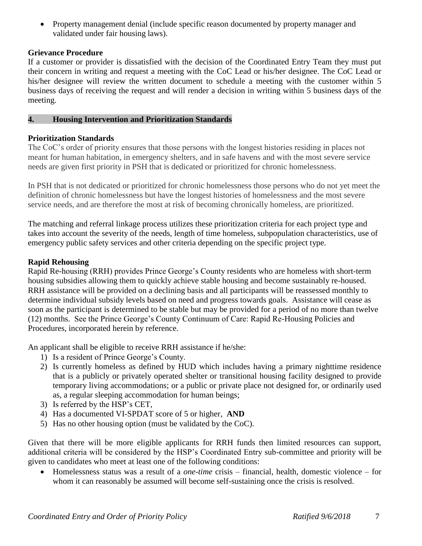• Property management denial (include specific reason documented by property manager and validated under fair housing laws).

### **Grievance Procedure**

If a customer or provider is dissatisfied with the decision of the Coordinated Entry Team they must put their concern in writing and request a meeting with the CoC Lead or his/her designee. The CoC Lead or his/her designee will review the written document to schedule a meeting with the customer within 5 business days of receiving the request and will render a decision in writing within 5 business days of the meeting.

## **4. Housing Intervention and Prioritization Standards**

# **Prioritization Standards**

The CoC's order of priority ensures that those persons with the longest histories residing in places not meant for human habitation, in emergency shelters, and in safe havens and with the most severe service needs are given first priority in PSH that is dedicated or prioritized for chronic homelessness.

In PSH that is not dedicated or prioritized for chronic homelessness those persons who do not yet meet the definition of chronic homelessness but have the longest histories of homelessness and the most severe service needs, and are therefore the most at risk of becoming chronically homeless, are prioritized.

The matching and referral linkage process utilizes these prioritization criteria for each project type and takes into account the severity of the needs, length of time homeless, subpopulation characteristics, use of emergency public safety services and other criteria depending on the specific project type.

## **Rapid Rehousing**

Rapid Re-housing (RRH) provides Prince George's County residents who are homeless with short-term housing subsidies allowing them to quickly achieve stable housing and become sustainably re-housed. RRH assistance will be provided on a declining basis and all participants will be reassessed monthly to determine individual subsidy levels based on need and progress towards goals. Assistance will cease as soon as the participant is determined to be stable but may be provided for a period of no more than twelve (12) months. See the Prince George's County Continuum of Care: Rapid Re-Housing Policies and Procedures, incorporated herein by reference.

An applicant shall be eligible to receive RRH assistance if he/she:

- 1) Is a resident of Prince George's County.
- 2) Is currently homeless as defined by HUD which includes having a primary nighttime residence that is a publicly or privately operated shelter or transitional housing facility designed to provide temporary living accommodations; or a public or private place not designed for, or ordinarily used as, a regular sleeping accommodation for human beings;
- 3) Is referred by the HSP's CET,
- 4) Has a documented VI-SPDAT score of 5 or higher, **AND**
- 5) Has no other housing option (must be validated by the CoC).

Given that there will be more eligible applicants for RRH funds then limited resources can support, additional criteria will be considered by the HSP's Coordinated Entry sub-committee and priority will be given to candidates who meet at least one of the following conditions:

 Homelessness status was a result of a *one-time* crisis – financial, health, domestic violence – for whom it can reasonably be assumed will become self-sustaining once the crisis is resolved.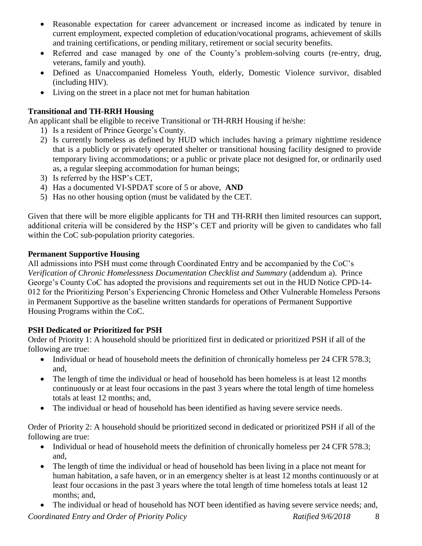- Reasonable expectation for career advancement or increased income as indicated by tenure in current employment, expected completion of education/vocational programs, achievement of skills and training certifications, or pending military, retirement or social security benefits.
- Referred and case managed by one of the County's problem-solving courts (re-entry, drug, veterans, family and youth).
- Defined as Unaccompanied Homeless Youth, elderly, Domestic Violence survivor, disabled (including HIV).
- Living on the street in a place not met for human habitation

# **Transitional and TH-RRH Housing**

An applicant shall be eligible to receive Transitional or TH-RRH Housing if he/she:

- 1) Is a resident of Prince George's County.
- 2) Is currently homeless as defined by HUD which includes having a primary nighttime residence that is a publicly or privately operated shelter or transitional housing facility designed to provide temporary living accommodations; or a public or private place not designed for, or ordinarily used as, a regular sleeping accommodation for human beings;
- 3) Is referred by the HSP's CET,
- 4) Has a documented VI-SPDAT score of 5 or above, **AND**
- 5) Has no other housing option (must be validated by the CET.

Given that there will be more eligible applicants for TH and TH-RRH then limited resources can support, additional criteria will be considered by the HSP's CET and priority will be given to candidates who fall within the CoC sub-population priority categories.

# **Permanent Supportive Housing**

All admissions into PSH must come through Coordinated Entry and be accompanied by the CoC's *Verification of Chronic Homelessness Documentation Checklist and Summary* (addendum a). Prince George's County CoC has adopted the provisions and requirements set out in the HUD Notice CPD-14- 012 for the Prioritizing Person's Experiencing Chronic Homeless and Other Vulnerable Homeless Persons in Permanent Supportive as the baseline written standards for operations of Permanent Supportive Housing Programs within the CoC.

# **PSH Dedicated or Prioritized for PSH**

Order of Priority 1: A household should be prioritized first in dedicated or prioritized PSH if all of the following are true:

- Individual or head of household meets the definition of chronically homeless per 24 CFR 578.3; and,
- The length of time the individual or head of household has been homeless is at least 12 months continuously or at least four occasions in the past 3 years where the total length of time homeless totals at least 12 months; and,
- The individual or head of household has been identified as having severe service needs.

Order of Priority 2: A household should be prioritized second in dedicated or prioritized PSH if all of the following are true:

- Individual or head of household meets the definition of chronically homeless per 24 CFR 578.3; and,
- The length of time the individual or head of household has been living in a place not meant for human habitation, a safe haven, or in an emergency shelter is at least 12 months continuously or at least four occasions in the past 3 years where the total length of time homeless totals at least 12 months; and,
- The individual or head of household has NOT been identified as having severe service needs; and,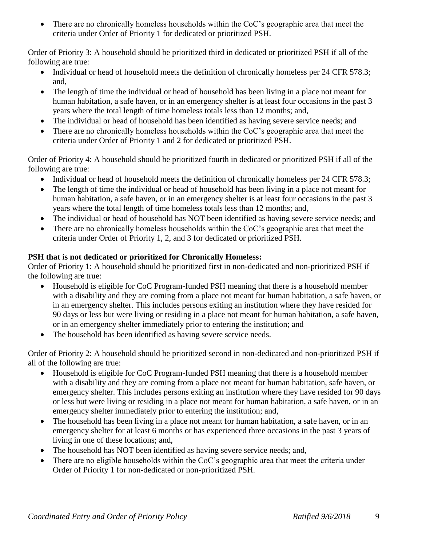• There are no chronically homeless households within the CoC's geographic area that meet the criteria under Order of Priority 1 for dedicated or prioritized PSH.

Order of Priority 3: A household should be prioritized third in dedicated or prioritized PSH if all of the following are true:

- Individual or head of household meets the definition of chronically homeless per 24 CFR 578.3; and,
- The length of time the individual or head of household has been living in a place not meant for human habitation, a safe haven, or in an emergency shelter is at least four occasions in the past 3 years where the total length of time homeless totals less than 12 months; and,
- The individual or head of household has been identified as having severe service needs; and
- There are no chronically homeless households within the CoC's geographic area that meet the criteria under Order of Priority 1 and 2 for dedicated or prioritized PSH.

Order of Priority 4: A household should be prioritized fourth in dedicated or prioritized PSH if all of the following are true:

- Individual or head of household meets the definition of chronically homeless per 24 CFR 578.3;
- The length of time the individual or head of household has been living in a place not meant for human habitation, a safe haven, or in an emergency shelter is at least four occasions in the past 3 years where the total length of time homeless totals less than 12 months; and,
- The individual or head of household has NOT been identified as having severe service needs; and
- There are no chronically homeless households within the CoC's geographic area that meet the criteria under Order of Priority 1, 2, and 3 for dedicated or prioritized PSH.

# **PSH that is not dedicated or prioritized for Chronically Homeless:**

Order of Priority 1: A household should be prioritized first in non-dedicated and non-prioritized PSH if the following are true:

- Household is eligible for CoC Program-funded PSH meaning that there is a household member with a disability and they are coming from a place not meant for human habitation, a safe haven, or in an emergency shelter. This includes persons exiting an institution where they have resided for 90 days or less but were living or residing in a place not meant for human habitation, a safe haven, or in an emergency shelter immediately prior to entering the institution; and
- The household has been identified as having severe service needs.

Order of Priority 2: A household should be prioritized second in non-dedicated and non-prioritized PSH if all of the following are true:

- Household is eligible for CoC Program-funded PSH meaning that there is a household member with a disability and they are coming from a place not meant for human habitation, safe haven, or emergency shelter. This includes persons exiting an institution where they have resided for 90 days or less but were living or residing in a place not meant for human habitation, a safe haven, or in an emergency shelter immediately prior to entering the institution; and,
- The household has been living in a place not meant for human habitation, a safe haven, or in an emergency shelter for at least 6 months or has experienced three occasions in the past 3 years of living in one of these locations; and,
- The household has NOT been identified as having severe service needs; and,
- There are no eligible households within the CoC's geographic area that meet the criteria under Order of Priority 1 for non-dedicated or non-prioritized PSH.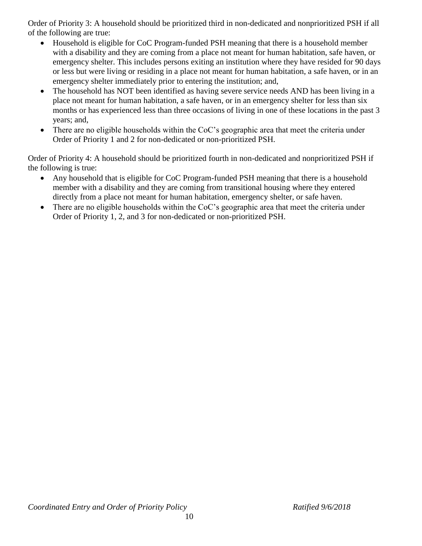Order of Priority 3: A household should be prioritized third in non-dedicated and nonprioritized PSH if all of the following are true:

- Household is eligible for CoC Program-funded PSH meaning that there is a household member with a disability and they are coming from a place not meant for human habitation, safe haven, or emergency shelter. This includes persons exiting an institution where they have resided for 90 days or less but were living or residing in a place not meant for human habitation, a safe haven, or in an emergency shelter immediately prior to entering the institution; and,
- The household has NOT been identified as having severe service needs AND has been living in a place not meant for human habitation, a safe haven, or in an emergency shelter for less than six months or has experienced less than three occasions of living in one of these locations in the past 3 years; and,
- There are no eligible households within the CoC's geographic area that meet the criteria under Order of Priority 1 and 2 for non-dedicated or non-prioritized PSH.

Order of Priority 4: A household should be prioritized fourth in non-dedicated and nonprioritized PSH if the following is true:

- Any household that is eligible for CoC Program-funded PSH meaning that there is a household member with a disability and they are coming from transitional housing where they entered directly from a place not meant for human habitation, emergency shelter, or safe haven.
- There are no eligible households within the CoC's geographic area that meet the criteria under Order of Priority 1, 2, and 3 for non-dedicated or non-prioritized PSH.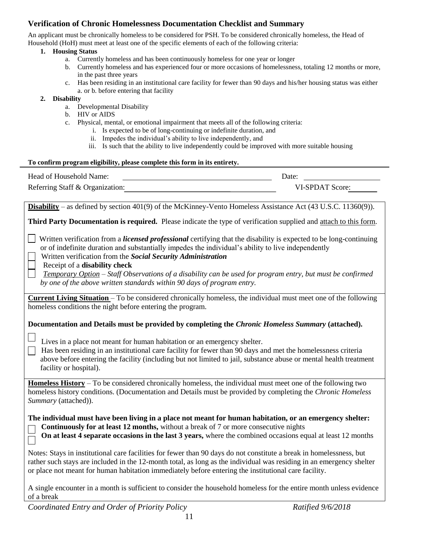# **Verification of Chronic Homelessness Documentation Checklist and Summary**

An applicant must be chronically homeless to be considered for PSH. To be considered chronically homeless, the Head of Household (HoH) must meet at least one of the specific elements of each of the following criteria:

#### **1. Housing Status**

- a. Currently homeless and has been continuously homeless for one year or longer
- b. Currently homeless and has experienced four or more occasions of homelessness, totaling 12 months or more, in the past three years
- c. Has been residing in an institutional care facility for fewer than 90 days and his/her housing status was either a. or b. before entering that facility

#### **2. Disability**

- a. Developmental Disability
- b. HIV or AIDS
- c. Physical, mental, or emotional impairment that meets all of the following criteria:
	- i. Is expected to be of long-continuing or indefinite duration, and
	- ii. Impedes the individual's ability to live independently, and
	- iii. Is such that the ability to live independently could be improved with more suitable housing

#### **To confirm program eligibility, please complete this form in its entirety.**

| Head of Household Name:         | Date:           |  |
|---------------------------------|-----------------|--|
| Referring Staff & Organization: | VI-SPDAT Score: |  |

**Disability** – as defined by section 401(9) of the McKinney-Vento Homeless Assistance Act (43 U.S.C. 11360(9)).

**Third Party Documentation is required.** Please indicate the type of verification supplied and attach to this form.

 Written verification from a *licensed professional* certifying that the disability is expected to be long-continuing or of indefinite duration and substantially impedes the individual's ability to live independently

- Written verification from the *Social Security Administration*
- Receipt of a **disability check**

 *Temporary Option* – *Staff Observations of a disability can be used for program entry, but must be confirmed by one of the above written standards within 90 days of program entry.*

**Current Living Situation** – To be considered chronically homeless, the individual must meet one of the following homeless conditions the night before entering the program.

**Documentation and Details must be provided by completing the** *Chronic Homeless Summary* **(attached).** 

Lives in a place not meant for human habitation or an emergency shelter.

 Has been residing in an institutional care facility for fewer than 90 days and met the homelessness criteria above before entering the facility (including but not limited to jail, substance abuse or mental health treatment facility or hospital).

**Homeless History** – To be considered chronically homeless, the individual must meet one of the following two homeless history conditions. (Documentation and Details must be provided by completing the *Chronic Homeless Summary* (attached)).

**The individual must have been living in a place not meant for human habitation, or an emergency shelter: Continuously for at least 12 months,** without a break of 7 or more consecutive nights

 **On at least 4 separate occasions in the last 3 years,** where the combined occasions equal at least 12 months

Notes: Stays in institutional care facilities for fewer than 90 days do not constitute a break in homelessness, but rather such stays are included in the 12-month total, as long as the individual was residing in an emergency shelter or place not meant for human habitation immediately before entering the institutional care facility.

A single encounter in a month is sufficient to consider the household homeless for the entire month unless evidence of a break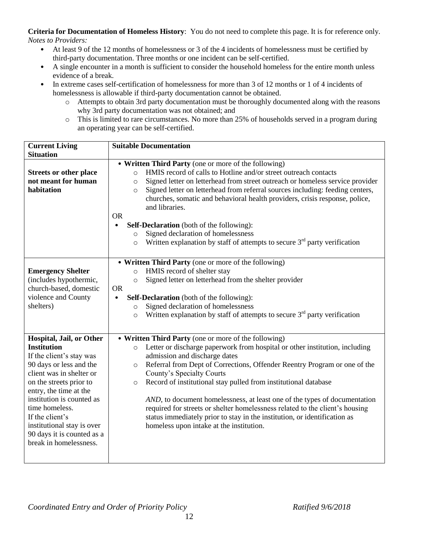**Criteria for Documentation of Homeless History**: You do not need to complete this page. It is for reference only. *Notes to Providers:*

- At least 9 of the 12 months of homelessness or 3 of the 4 incidents of homelessness must be certified by third-party documentation. Three months or one incident can be self-certified.
- A single encounter in a month is sufficient to consider the household homeless for the entire month unless evidence of a break.
- In extreme cases self-certification of homelessness for more than 3 of 12 months or 1 of 4 incidents of homelessness is allowable if third-party documentation cannot be obtained.
	- o Attempts to obtain 3rd party documentation must be thoroughly documented along with the reasons why 3rd party documentation was not obtained; and
	- o This is limited to rare circumstances. No more than 25% of households served in a program during an operating year can be self-certified.

| <b>Current Living</b>                          | <b>Suitable Documentation</b>                                                                                           |  |  |  |
|------------------------------------------------|-------------------------------------------------------------------------------------------------------------------------|--|--|--|
| <b>Situation</b>                               |                                                                                                                         |  |  |  |
|                                                | • Written Third Party (one or more of the following)                                                                    |  |  |  |
| <b>Streets or other place</b>                  | HMIS record of calls to Hotline and/or street outreach contacts<br>$\circ$                                              |  |  |  |
| not meant for human                            | Signed letter on letterhead from street outreach or homeless service provider<br>$\circ$                                |  |  |  |
| habitation                                     | Signed letter on letterhead from referral sources including: feeding centers,<br>$\circ$                                |  |  |  |
|                                                | churches, somatic and behavioral health providers, crisis response, police,<br>and libraries.                           |  |  |  |
|                                                | <b>OR</b>                                                                                                               |  |  |  |
|                                                | <b>Self-Declaration</b> (both of the following):                                                                        |  |  |  |
|                                                | Signed declaration of homelessness<br>$\circ$                                                                           |  |  |  |
|                                                | Written explanation by staff of attempts to secure $3rd$ party verification<br>$\circ$                                  |  |  |  |
|                                                |                                                                                                                         |  |  |  |
|                                                | • Written Third Party (one or more of the following)                                                                    |  |  |  |
| <b>Emergency Shelter</b>                       | HMIS record of shelter stay<br>$\circ$                                                                                  |  |  |  |
| (includes hypothermic,                         | Signed letter on letterhead from the shelter provider<br>$\circ$                                                        |  |  |  |
| church-based, domestic                         | <b>OR</b>                                                                                                               |  |  |  |
| violence and County                            | <b>Self-Declaration</b> (both of the following):<br>$\bullet$                                                           |  |  |  |
| shelters)                                      | Signed declaration of homelessness<br>$\circ$                                                                           |  |  |  |
|                                                | Written explanation by staff of attempts to secure $3rd$ party verification<br>$\circ$                                  |  |  |  |
|                                                |                                                                                                                         |  |  |  |
|                                                |                                                                                                                         |  |  |  |
| Hospital, Jail, or Other<br><b>Institution</b> | • Written Third Party (one or more of the following)                                                                    |  |  |  |
| If the client's stay was                       | Letter or discharge paperwork from hospital or other institution, including<br>$\circ$<br>admission and discharge dates |  |  |  |
| 90 days or less and the                        | Referral from Dept of Corrections, Offender Reentry Program or one of the<br>$\circ$                                    |  |  |  |
| client was in shelter or                       | County's Specialty Courts                                                                                               |  |  |  |
| on the streets prior to                        | Record of institutional stay pulled from institutional database<br>$\circ$                                              |  |  |  |
| entry, the time at the                         |                                                                                                                         |  |  |  |
| institution is counted as                      | AND, to document homelessness, at least one of the types of documentation                                               |  |  |  |
| time homeless.                                 | required for streets or shelter homelessness related to the client's housing                                            |  |  |  |
| If the client's                                | status immediately prior to stay in the institution, or identification as                                               |  |  |  |
| institutional stay is over                     | homeless upon intake at the institution.                                                                                |  |  |  |
| 90 days it is counted as a                     |                                                                                                                         |  |  |  |
| break in homelessness.                         |                                                                                                                         |  |  |  |
|                                                |                                                                                                                         |  |  |  |
|                                                |                                                                                                                         |  |  |  |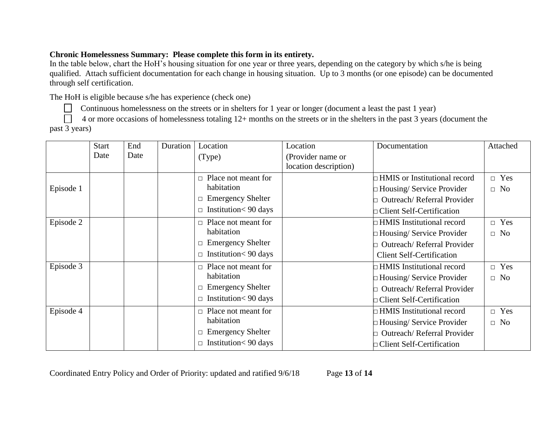# **Chronic Homelessness Summary: Please complete this form in its entirety.**

In the table below, chart the HoH's housing situation for one year or three years, depending on the category by which s/he is being qualified. Attach sufficient documentation for each change in housing situation. Up to 3 months (or one episode) can be documented through self certification.

The HoH is eligible because s/he has experience (check one)

Continuous homelessness on the streets or in shelters for 1 year or longer (document a least the past 1 year)

 4 or more occasions of homelessness totaling 12+ months on the streets or in the shelters in the past 3 years (document the past 3 years)

|           | <b>Start</b> | End  | Duration | Location                    | Location                                   | Documentation                       | Attached   |
|-----------|--------------|------|----------|-----------------------------|--------------------------------------------|-------------------------------------|------------|
|           | Date         | Date |          | (Type)                      | (Provider name or<br>location description) |                                     |            |
|           |              |      |          | Place not meant for         |                                            | $\Box$ HMIS or Institutional record | $\Box$ Yes |
|           | Episode 1    |      |          | habitation                  |                                            | $\Box$ Housing/ Service Provider    | $\Box$ No  |
|           |              |      |          | $\Box$ Emergency Shelter    |                                            | Outreach/Referral Provider          |            |
|           |              |      |          | $\Box$ Institution< 90 days |                                            | $\Box$ Client Self-Certification    |            |
| Episode 2 |              |      |          | Place not meant for         |                                            | $\Box$ HMIS Institutional record    | $\Box$ Yes |
|           |              |      |          | habitation                  |                                            | $\Box$ Housing/ Service Provider    | $\Box$ No  |
|           |              |      |          | $\Box$ Emergency Shelter    |                                            | Outreach/Referral Provider          |            |
|           |              |      |          | $\Box$ Institution< 90 days |                                            | <b>Client Self-Certification</b>    |            |
| Episode 3 |              |      |          | Place not meant for         |                                            | □ HMIS Institutional record         | $\Box$ Yes |
|           |              |      |          | habitation                  |                                            | $\Box$ Housing/ Service Provider    | $\Box$ No  |
|           |              |      |          | $\Box$ Emergency Shelter    |                                            | <b>Outreach/Referral Provider</b>   |            |
|           |              |      |          | $\Box$ Institution< 90 days |                                            | $\Box$ Client Self-Certification    |            |
| Episode 4 |              |      |          | Place not meant for         |                                            | $\Box$ HMIS Institutional record    | $\Box$ Yes |
|           |              |      |          | habitation                  |                                            | $\Box$ Housing/ Service Provider    | $\Box$ No  |
|           |              |      |          | $\Box$ Emergency Shelter    |                                            | Outreach/Referral Provider          |            |
|           |              |      |          | $\Box$ Institution< 90 days |                                            | $\Box$ Client Self-Certification    |            |